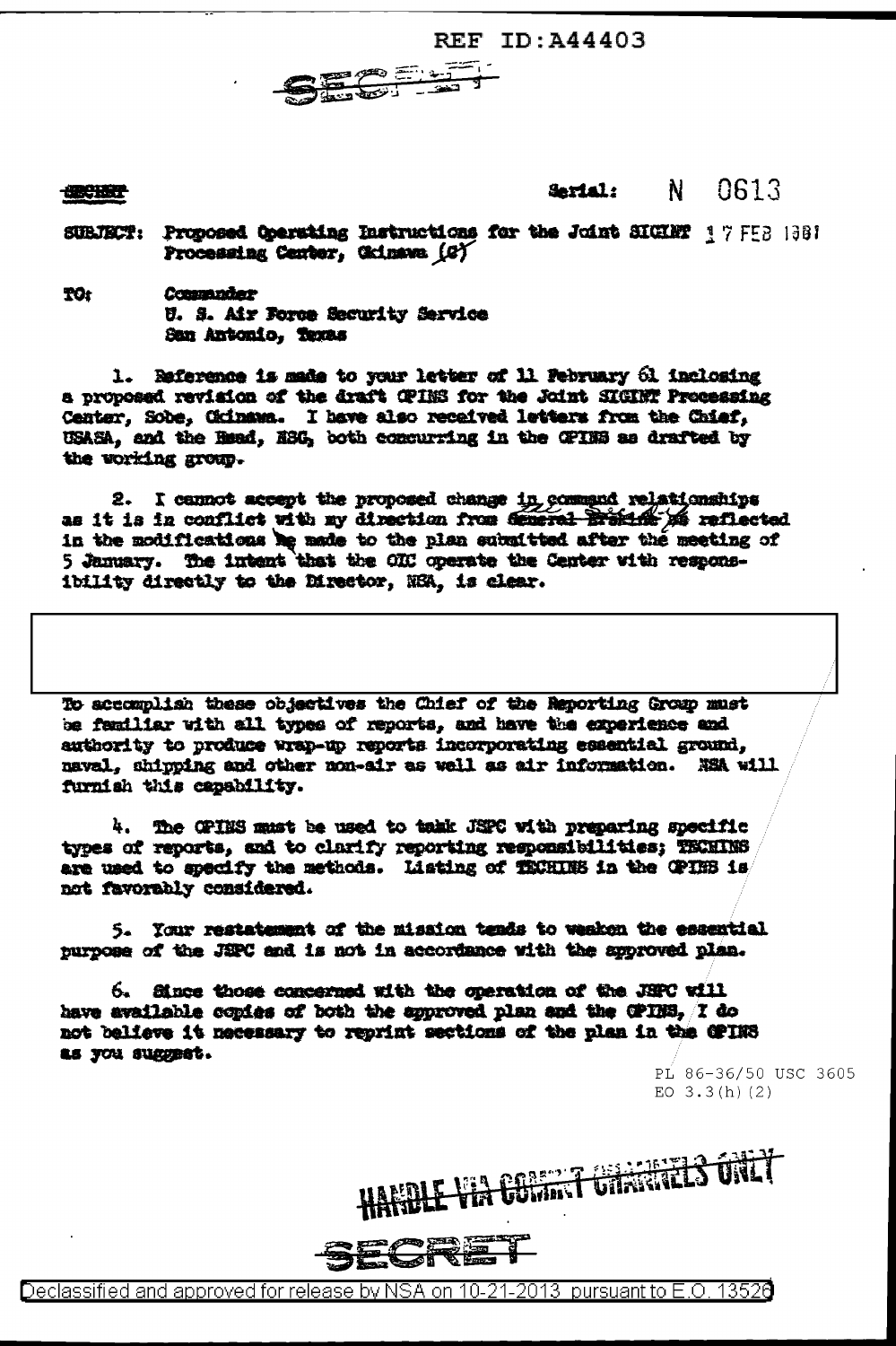**REF ID: A44403** 



**CERCHERY** 

## 0613 Serial: N.

- SUBJECT: Proposed Operating Ratructions for the Joint SIGHT 17 FEB 1981 Processing Center, Okinawa (G)
- **TO:** Commader U. S. Air Force Security Service San Antonio, Texas

1. Reference is made to your letter of 11 February 61 inclosing a proposed revision of the draft CPINS for the Joint SIGINT Processing Center, Sobe, Ckinawa. I have also received letters from the Chief, USASA, and the Head, ASC, both concurring in the CPINS as drafted by the working group.

2. I cannot accept the proposed change in command relationships as it is in conflict with my direction from deneral Braking of reflected in the modifications he made to the plan submitted after the meeting of 5 January. The intent that the OIC operate the Center with responsibility directly to the Director, NSA, is clear.

To accomplish these objectives the Chief of the Reporting Group must be familiar with all types of reports, and have the experience and authority to produce wrap-up reports incorporating essential ground, naval, shipping and other non-air as well as air information. NSA will furnish this capability.

4. The OPINS must be used to takk JSPC with preparing specific types of reports, and to clarify reporting responsibilities; TECHINS are used to specify the methods. Listing of TECHINS in the CPINS is not favorably considered.

5. Your restatement of the mission tends to weaken the essential purpose of the JSPC and is not in accordance with the approved plan.

6. Since those concerned with the operation of the JSPC will have available copies of both the approved plan and the CPINS, I do not believe it necessary to reprint sections of the plan in the CPINS as you suggest.

> PL 86-36/50 USC 3605 EO  $3.3(h)(2)$

E VIA COMMA GRANALIS ONLY

Declassified and approved for release by NSA on 10-21-2013 pursuant to E.O. 1352A

ਡ¥

飞票